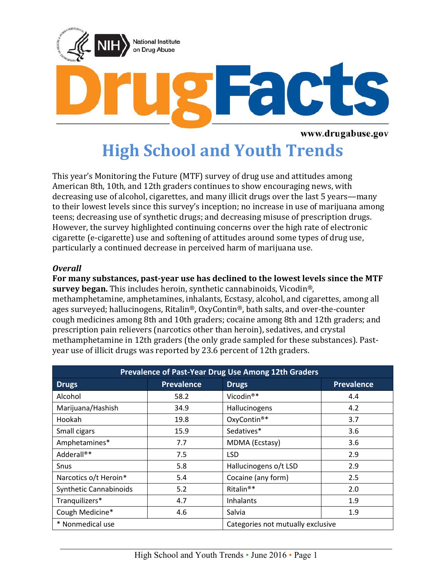

www.drugabuse.gov

# **High School and Youth Trends**

This year's Monitoring the Future (MTF) survey of drug use and attitudes among American 8th, 10th, and 12th graders continues to show encouraging news, with decreasing use of alcohol, cigarettes, and many illicit drugs over the last 5 years—many to their lowest levels since this survey's inception; no increase in use of marijuana among teens; decreasing use of synthetic drugs; and decreasing misuse of prescription drugs. However, the survey highlighted continuing concerns over the high rate of electronic cigarette (e-cigarette) use and softening of attitudes around some types of drug use, particularly a continued decrease in perceived harm of marijuana use.

#### *Overall*

**For many substances, past-year use has declined to the lowest levels since the MTF survey began.** This includes heroin, synthetic cannabinoids, Vicodin®, methamphetamine, amphetamines, inhalants, Ecstasy, alcohol, and cigarettes, among all ages surveyed; hallucinogens, Ritalin®, OxyContin®, bath salts, and over-the-counter cough medicines among 8th and 10th graders; cocaine among 8th and 12th graders; and prescription pain relievers (narcotics other than heroin), sedatives, and crystal methamphetamine in 12th graders (the only grade sampled for these substances). Pastyear use of illicit drugs was reported by 23.6 percent of 12th graders.

| Prevalence of Past-Year Drug Use Among 12th Graders |                   |                                   |                   |
|-----------------------------------------------------|-------------------|-----------------------------------|-------------------|
| <b>Drugs</b>                                        | <b>Prevalence</b> | <b>Drugs</b>                      | <b>Prevalence</b> |
| Alcohol                                             | 58.2              | Vicodin <sup>®*</sup>             | 4.4               |
| Marijuana/Hashish                                   | 34.9              | Hallucinogens                     | 4.2               |
| Hookah                                              | 19.8              | OxyContin <sup>®*</sup>           | 3.7               |
| Small cigars                                        | 15.9              | Sedatives*                        | 3.6               |
| Amphetamines*                                       | 7.7               | MDMA (Ecstasy)                    | 3.6               |
| Adderall®*                                          | 7.5               | LSD                               | 2.9               |
| Snus                                                | 5.8               | Hallucinogens o/t LSD             | 2.9               |
| Narcotics o/t Heroin*                               | 5.4               | Cocaine (any form)                | 2.5               |
| Synthetic Cannabinoids                              | 5.2               | Ritalin <sup>®*</sup>             | 2.0               |
| Tranquilizers*                                      | 4.7               | Inhalants                         | 1.9               |
| Cough Medicine*                                     | 4.6               | Salvia                            | 1.9               |
| * Nonmedical use                                    |                   | Categories not mutually exclusive |                   |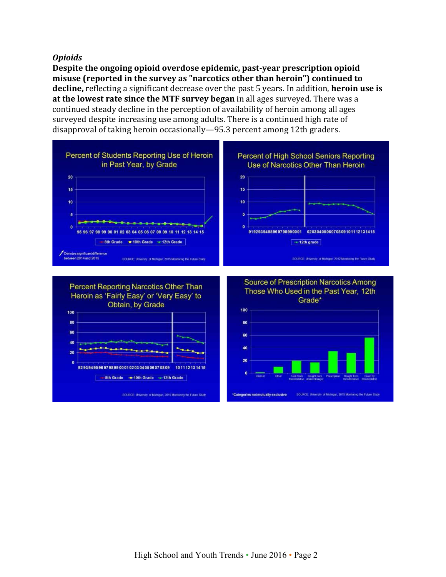#### *Opioids*

**Despite the ongoing opioid overdose epidemic, past-year prescription opioid misuse (reported in the survey as "narcotics other than heroin") continued to decline,** reflecting a significant decrease over the past 5 years. In addition, **heroin use is at the lowest rate since the MTF survey began** in all ages surveyed. There was a continued steady decline in the perception of availability of heroin among all ages surveyed despite increasing use among adults. There is a continued high rate of disapproval of taking heroin occasionally—95.3 percent among 12th graders.

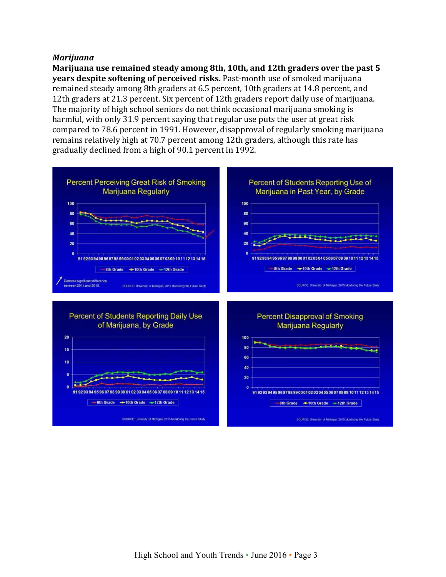#### *Marijuana*

**Marijuana use remained steady among 8th, 10th, and 12th graders over the past 5 years despite softening of perceived risks.** Past-month use of smoked marijuana remained steady among 8th graders at 6.5 percent, 10th graders at 14.8 percent, and 12th graders at 21.3 percent. Six percent of 12th graders report daily use of marijuana. The majority of high school seniors do not think occasional marijuana smoking is harmful, with only 31.9 percent saying that regular use puts the user at great risk compared to 78.6 percent in 1991. However, disapproval of regularly smoking marijuana remains relatively high at 70.7 percent among 12th graders, although this rate has gradually declined from a high of 90.1 percent in 1992.

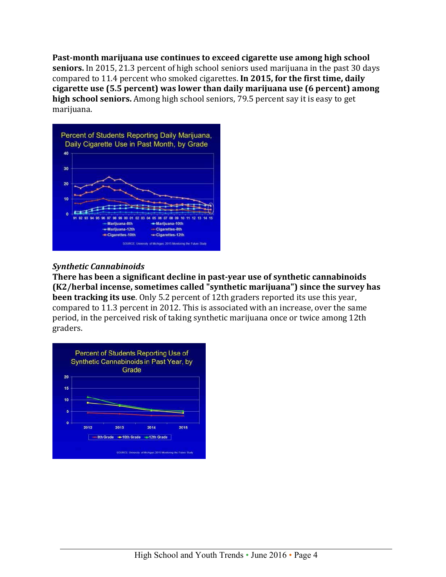**Past-month marijuana use continues to exceed cigarette use among high school seniors.** In 2015, 21.3 percent of high school seniors used marijuana in the past 30 days compared to 11.4 percent who smoked cigarettes. **In 2015, for the first time, daily cigarette use (5.5 percent) was lower than daily marijuana use (6 percent) among high school seniors.** Among high school seniors, 79.5 percent say it is easy to get marijuana.



## *Synthetic Cannabinoids*

**There has been a significant decline in past-year use of synthetic cannabinoids (K2/herbal incense, sometimes called "synthetic marijuana") since the survey has been tracking its use**. Only 5.2 percent of 12th graders reported its use this year, compared to 11.3 percent in 2012. This is associated with an increase, over the same period, in the perceived risk of taking synthetic marijuana once or twice among 12th graders.

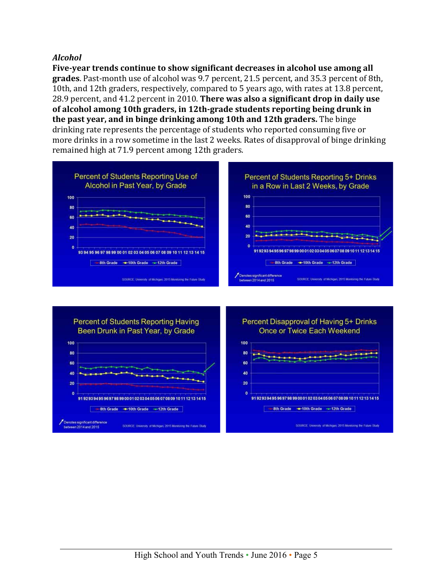#### *Alcohol*

**Five-year trends continue to show significant decreases in alcohol use among all grades**. Past-month use of alcohol was 9.7 percent, 21.5 percent, and 35.3 percent of 8th, 10th, and 12th graders, respectively, compared to 5 years ago, with rates at 13.8 percent, 28.9 percent, and 41.2 percent in 2010. **There was also a significant drop in daily use of alcohol among 10th graders, in 12th-grade students reporting being drunk in the past year, and in binge drinking among 10th and 12th graders.** The binge drinking rate represents the percentage of students who reported consuming five or more drinks in a row sometime in the last 2 weeks. Rates of disapproval of binge drinking remained high at 71.9 percent among 12th graders.



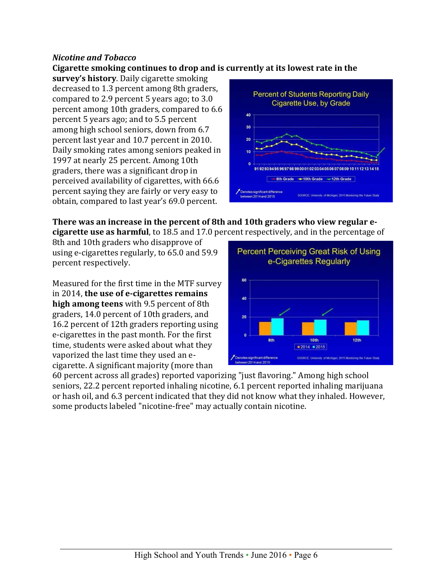### *Nicotine and Tobacco*

#### **Cigarette smoking continues to drop and is currently at its lowest rate in the**

**survey's history**. Daily cigarette smoking decreased to 1.3 percent among 8th graders, compared to 2.9 percent 5 years ago; to 3.0 percent among 10th graders, compared to 6.6 percent 5 years ago; and to 5.5 percent among high school seniors, down from 6.7 percent last year and 10.7 percent in 2010. Daily smoking rates among seniors peaked in 1997 at nearly 25 percent. Among 10th graders, there was a significant drop in perceived availability of cigarettes, with 66.6 percent saying they are fairly or very easy to obtain, compared to last year's 69.0 percent.



**There was an increase in the percent of 8th and 10th graders who view regular ecigarette use as harmful**, to 18.5 and 17.0 percent respectively, and in the percentage of

8th and 10th graders who disapprove of using e-cigarettes regularly, to 65.0 and 59.9 percent respectively.

Measured for the first time in the MTF survey in 2014, **the use of e-cigarettes remains high among teens** with 9.5 percent of 8th graders, 14.0 percent of 10th graders, and 16.2 percent of 12th graders reporting using e-cigarettes in the past month. For the first time, students were asked about what they vaporized the last time they used an ecigarette. A significant majority (more than

60 percent across all grades) reported vaporizing "just flavoring." Among high school seniors, 22.2 percent reported inhaling nicotine, 6.1 percent reported inhaling marijuana or hash oil, and 6.3 percent indicated that they did not know what they inhaled. However, some products labeled "nicotine-free" may actually contain nicotine.